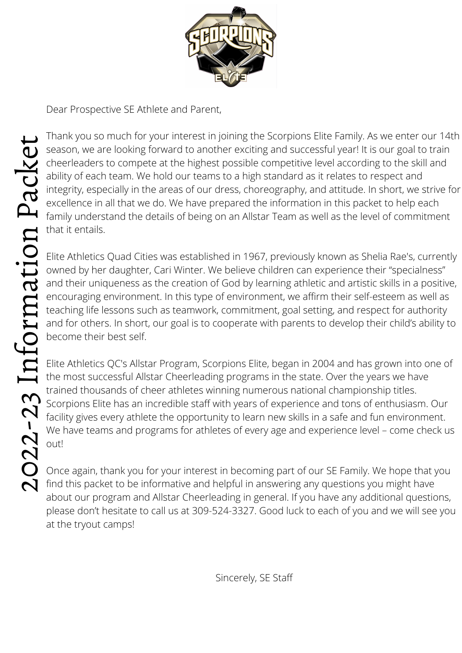

Dear Prospective SE Athlete and Parent,

Thank you so much for your interest in joining the Scorpions Elite Family. As we enter our 14th season, we are looking forward to another exciting and successful year! It is our goal to train cheerleaders to compete at the highest possible competitive level according to the skill and ability of each team. We hold our teams to a high standard as it relates to respect and integrity, especially in the areas of our dress, choreography, and attitude. In short, we strive for excellence in all that we do. We have prepared the information in this packet to help each family understand the details of being on an Allstar Team as well as the level of commitment that it entails.

Elite Athletics Quad Cities was established in 1967, previously known as Shelia Rae's, currently owned by her daughter, Cari Winter. We believe children can experience their "specialness" and their uniqueness as the creation of God by learning athletic and artistic skills in a positive, encouraging environment. In this type of environment, we affirm their self-esteem as well as teaching life lessons such as teamwork, commitment, goal setting, and respect for authority and for others. In short, our goal is to cooperate with parents to develop their child's ability to become their best self.  $E$  encou

Elite Athletics QC's Allstar Program, Scorpions Elite, began in 2004 and has grown into one of the most successful Allstar Cheerleading programs in the state. Over the years we have trained thousands of cheer athletes winning numerous national championship titles. Scorpions Elite has an incredible staff with years of experience and tons of enthusiasm. Our facility gives every athlete the opportunity to learn new skills in a safe and fun environment. We have teams and programs for athletes of every age and experience level – come check us out!

Once again, thank you for your interest in becoming part of our SE Family. We hope that you find this packet to be informative and helpful in answering any questions you might have about our program and Allstar Cheerleading in general. If you have any additional questions, please don't hesitate to call us at 309-524-3327. Good luck to each of you and we will see you at the tryout camps!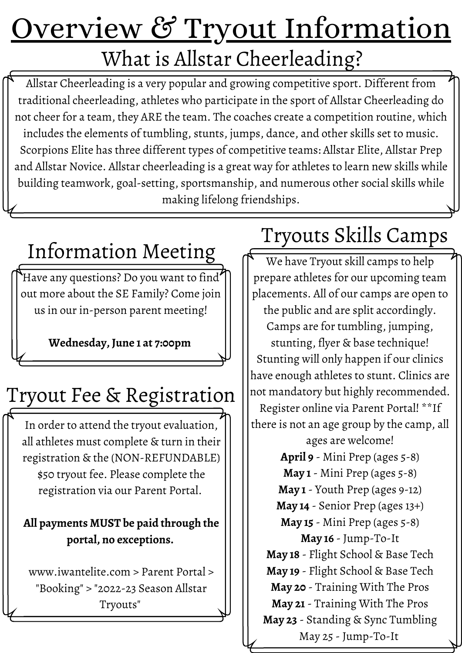# Overview & Tryout Information What is Allstar Cheerleading?

Allstar Cheerleading is a very popular and growing competitive sport. Different from traditional cheerleading, athletes who participate in the sport of Allstar Cheerleading do not cheer for a team, they ARE the team. The coaches create a competition routine, which includes the elements of tumbling, stunts, jumps, dance, and other skills set to music. Scorpions Elite has three different types of competitive teams: Allstar Elite, Allstar Prep and Allstar Novice. Allstar cheerleading is a great way for athletes to learn new skills while building teamwork, goal-setting, sportsmanship, and numerous other social skills while making lifelong friendships.

# Information Meeting

Have any questions? Do you want to find out more about the SE Family? Come join us in our in-person parent meeting!

**Wednesday, June 1 at 7:00pm**

# Tryout Fee & Registration

In order to attend the tryout evaluation, all athletes must complete & turn in their registration & the (NON-REFUNDABLE) \$50 tryout fee. Please complete the registration via our Parent Portal.

### **All payments MUST be paid through the portal, no exceptions.**

www.iwantelite.com > Parent Portal > "Booking" > "2022-23 Season Allstar Tryouts"

# Tryouts Skills Camps

We have Tryout skill camps to help prepare athletes for our upcoming team placements. All of our camps are open to the public and are split accordingly. Camps are for tumbling, jumping, stunting, flyer & base technique! Stunting will only happen if our clinics have enough athletes to stunt. Clinics are not mandatory but highly recommended. Register online via Parent Portal! \*\*If there is not an age group by the camp, all ages are welcome! **April 9** - Mini Prep (ages 5-8) **May 1** - Mini Prep (ages 5-8) **May 1** - Youth Prep (ages 9-12) **May 14** - Senior Prep (ages 13+) **May 15** - Mini Prep (ages 5-8) **May 16** - Jump-To-It **May 18** - Flight School & Base Tech **May 19** - Flight School & Base Tech **May 20** - Training With The Pros **May 21** - Training With The Pros **May 23** - Standing & Sync Tumbling May 25 - Jump-To-It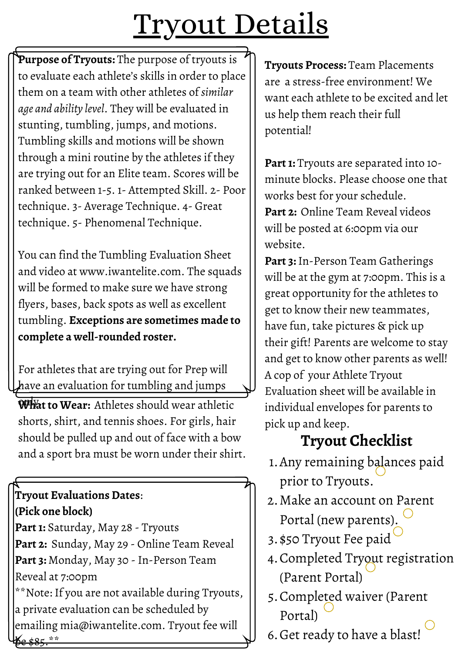# Tryout Details

**Purpose of Tryouts:** The purpose of tryouts is to evaluate each athlete's skills in order to place them on a team with other athletes of *similar age and ability level*. They will be evaluated in stunting, tumbling, jumps, and motions. Tumbling skills and motions will be shown through a mini routine by the athletes if they are trying out for an Elite team. Scores will be ranked between 1-5. 1- Attempted Skill. 2- Poor technique. 3- Average Technique. 4- Great technique. 5- Phenomenal Technique.

You can find the Tumbling Evaluation Sheet and video at www.iwantelite.com. The squads will be formed to make sure we have strong flyers, bases, back spots as well as excellent tumbling. **Exceptions are sometimes made to complete a well-rounded roster.**

For athletes that are trying out for Prep will have an evaluation for tumbling and jumps

**What to Wear:** Athletes should wear athletic shorts, shirt, and tennis shoes. For girls, hair should be pulled up and out of face with a bow and a sport bra must be worn under their shirt.

# **Tryout Evaluations Dates**: **(Pick one block)**

Part 1: Saturday, May 28 - Tryouts **Part 2:** Sunday, May 29 - Online Team Reveal **Part 3:** Monday, May 30 - In-Person Team Reveal at 7:00pm \*\*Note: If you are not available during Tryouts,

a private evaluation can be scheduled by emailing mia@iwantelite.com. Tryout fee will be \$85.\*\*

**Tryouts Process:** Team Placements are a stress-free environment! We want each athlete to be excited and let us help them reach their full potential!

Part 1: Tryouts are separated into 10minute blocks. Please choose one that works best for your schedule. **Part 2:** Online Team Reveal videos will be posted at 6:00pm via our website.

**Part 3:**In-Person Team Gatherings will be at the gym at 7:00pm. This is a great opportunity for the athletes to get to know their new teammates, have fun, take pictures & pick up their gift! Parents are welcome to stay and get to know other parents as well! A cop of your Athlete Tryout Evaluation sheet will be available in individual envelopes for parents to pick up and keep.

# **Tryout Checklist**

- Any remaining balances paid 1. prior to Tryouts.
- Make an account on Parent 2. Portal (new parents).
- 3. \$50 Tryout Fee paid
- Completed Tryout registration 4. (Parent Portal)
- 5. Completed waiver (Parent Portal)
- 6. Get ready to have a blast!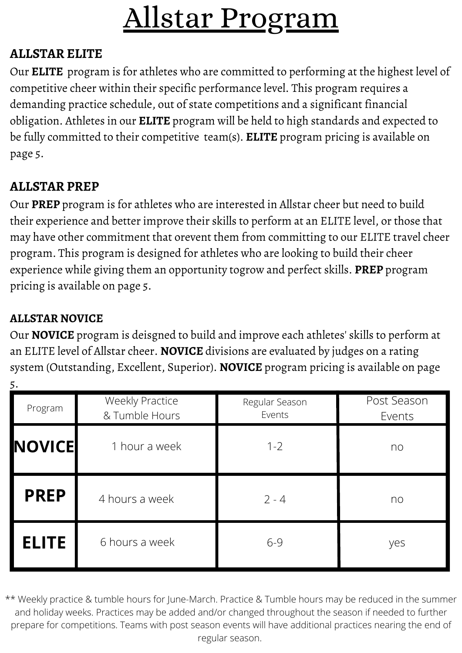# Allstar Program

#### **ALLSTAR ELITE**

Our **ELITE** program is for athletes who are committed to performing at the highest level of competitive cheer within their specific performance level. This program requires a demanding practice schedule, out of state competitions and a significant financial obligation. Athletes in our **ELITE** program will be held to high standards and expected to be fully committed to their competitive team(s). **ELITE** program pricing is available on page 5.

## **ALLSTAR PREP**

Our **PREP** program is for athletes who are interested in Allstar cheer but need to build their experience and better improve their skills to perform at an ELITE level, or those that may have other commitment that orevent them from committing to our ELITE travel cheer program. This program is designed for athletes who are looking to build their cheer experience while giving them an opportunity togrow and perfect skills. **PREP** program pricing is available on page 5.

### **ALLSTAR NOVICE**

5.

Our **NOVICE** program is deisgned to build and improve each athletes' skills to perform at an ELITE level of Allstar cheer. **NOVICE** divisions are evaluated by judges on a rating system (Outstanding, Excellent, Superior). **NOVICE** program pricing is available on page

| Program       | <b>Weekly Practice</b><br>& Tumble Hours | Regular Season<br>Events | Post Season<br>Events |
|---------------|------------------------------------------|--------------------------|-----------------------|
| <b>NOVICE</b> | 1 hour a week                            | $1 - 2$                  | no                    |
| <b>PREP</b>   | 4 hours a week                           | $2 - 4$                  | no                    |
| <b>ELITE</b>  | 6 hours a week                           | $6 - 9$                  | yes                   |

\*\* Weekly practice & tumble hours for June-March. Practice & Tumble hours may be reduced in the summer and holiday weeks. Practices may be added and/or changed throughout the season if needed to further prepare for competitions. Teams with post season events will have additional practices nearing the end of regular season.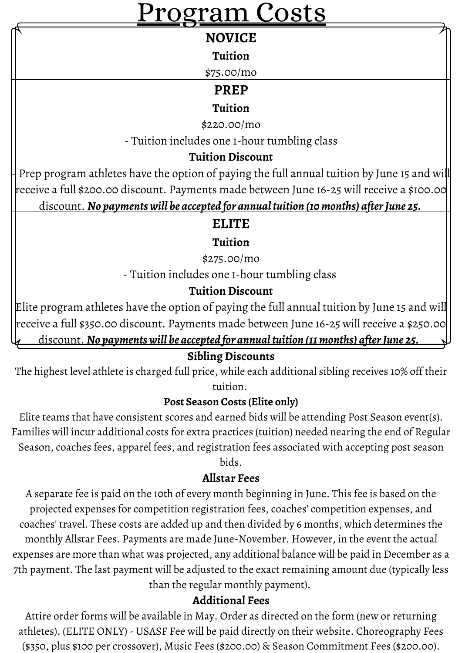# rogram Costs

#### **NOVICE**

#### **Tuition**

\$75.00/mo

### **PREP**

#### **Tuition**

\$220.00/mo

- Tuition includes one 1-hour tumbling class

#### **Tuition Discount**

Prep program athletes have the option of paying the full annual tuition by June 15 and will receive a full \$200.00 discount. Payments made between June 16-25 will receive a \$100.00 discount. *No paymentswill be accepted for annualtuition (10months) afterJune 25.*

## **ELITE**

#### **Tuition**

\$275.00/mo

- Tuition includes one 1-hour tumbling class

#### **Tuition Discount**

Elite program athletes have the option of paying the full annual tuition by June 15 and will receive a full \$350.00 discount. Payments made between June 16-25 will receive a \$250.00 discount. *No paymentswill be accepted for annualtuition (11months) afterJune 25.*

#### **Sibling Discounts**

The highest level athlete is charged full price, while each additional sibling receives 10% off their tuition.

#### **Post Season Costs (Elite only)**

Elite teams that have consistent scores and earned bids will be attending Post Season event(s). Families will incur additional costs for extra practices (tuition) needed nearing the end of Regular Season, coaches fees, apparel fees, and registration fees associated with accepting post season

#### bids.

#### **Allstar Fees**

A separate fee is paid on the 10th of every month beginning in June. This fee is based on the projected expenses for competition registration fees, coaches' competition expenses, and coaches' travel. These costs are added up and then divided by 6 months, which determines the monthly Allstar Fees. Payments are made June-November. However, in the event the actual expenses are more than what was projected, any additional balance will be paid in December as a 7th payment. The last payment will be adjusted to the exact remaining amount due (typically less than the regular monthly payment).

#### **Additional Fees**

Attire order forms will be available in May. Order as directed on the form (new or returning athletes). (ELITE ONLY) - USASF Fee will be paid directly on their website. Choreography Fees (\$350, plus \$100 per crossover), Music Fees (\$200.00) & Season Commitment Fees (\$200.00).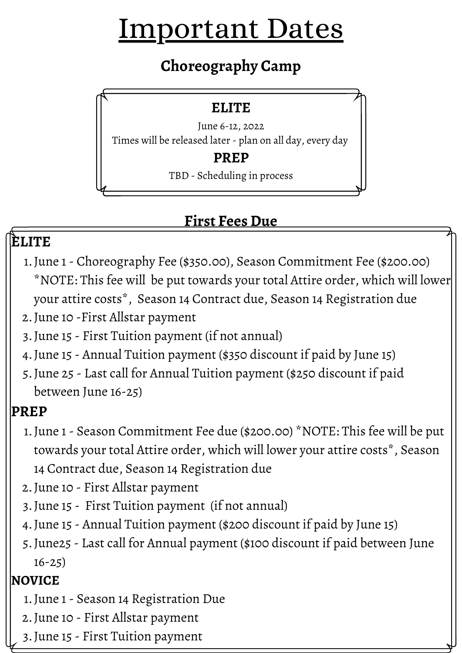# Important Dates

# **Choreography Camp**

## **ELITE**

June 6-12, 2022 Times will be released later - plan on all day, every day

### **PREP**

TBD - Scheduling in process

# **First Fees Due**

# **ELITE**

- June 1 Choreography Fee (\$350.00), Season Commitment Fee (\$200.00) 1. \*NOTE: This fee will be put towards your total Attire order, which will lower your attire costs\*, Season 14 Contract due, Season 14 Registration due
- 2. June 10 -First Allstar payment
- June 15 First Tuition payment (if not annual) 3.
- June 15 Annual Tuition payment (\$350 discount if paid by June 15) 4.
- June 25 Last call for Annual Tuition payment (\$250 discount if paid 5. between June 16-25)

# **PREP**

- June 1 Season Commitment Fee due (\$200.00) \*NOTE: This fee will be put 1. towards your total Attire order, which will lower your attire costs\*, Season 14 Contract due, Season 14 Registration due
- 2. June 10 First Allstar payment
- June 15 First Tuition payment (if not annual) 3.
- June 15 Annual Tuition payment (\$200 discount if paid by June 15) 4.
- June25 Last call for Annual payment (\$100 discount if paid between June 5. 16-25)

## **NOVICE**

- June 1 Season 14 Registration Due 1.
- 2. June 10 First Allstar payment
- June 15 First Tuition payment 3.